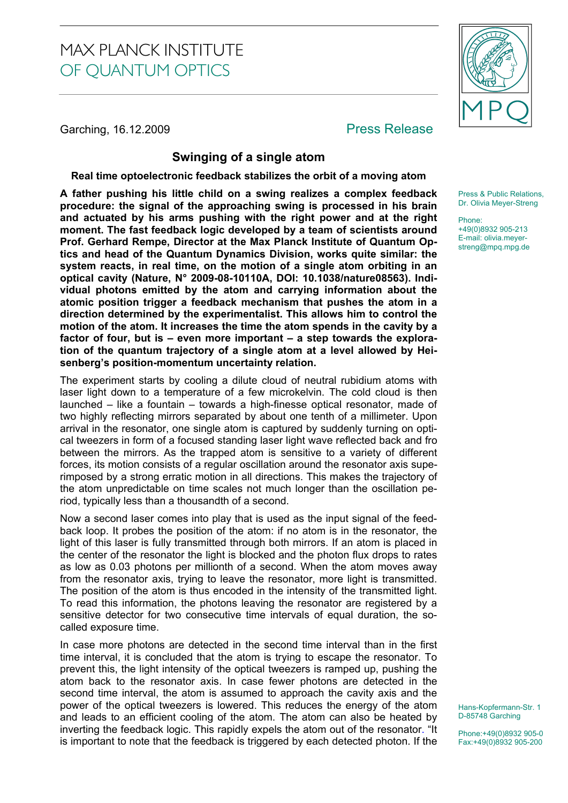# MAX PLANCK INSTITUTE OF QUANTUM OPTICS

Garching, 16.12.2009 **Press Release** 



## **Swinging of a single atom**

#### **Real time optoelectronic feedback stabilizes the orbit of a moving atom**

**A father pushing his little child on a swing realizes a complex feedback procedure: the signal of the approaching swing is processed in his brain and actuated by his arms pushing with the right power and at the right moment. The fast feedback logic developed by a team of scientists around Prof. Gerhard Rempe, Director at the Max Planck Institute of Quantum Optics and head of the Quantum Dynamics Division, works quite similar: the system reacts, in real time, on the motion of a single atom orbiting in an optical cavity (Nature, N° 2009-08-10110A, DOI: 10.1038/nature08563). Individual photons emitted by the atom and carrying information about the atomic position trigger a feedback mechanism that pushes the atom in a direction determined by the experimentalist. This allows him to control the motion of the atom. It increases the time the atom spends in the cavity by a factor of four, but is – even more important – a step towards the exploration of the quantum trajectory of a single atom at a level allowed by Heisenberg's position-momentum uncertainty relation.** 

The experiment starts by cooling a dilute cloud of neutral rubidium atoms with laser light down to a temperature of a few microkelvin. The cold cloud is then launched – like a fountain – towards a high-finesse optical resonator, made of two highly reflecting mirrors separated by about one tenth of a millimeter. Upon arrival in the resonator, one single atom is captured by suddenly turning on optical tweezers in form of a focused standing laser light wave reflected back and fro between the mirrors. As the trapped atom is sensitive to a variety of different forces, its motion consists of a regular oscillation around the resonator axis superimposed by a strong erratic motion in all directions. This makes the trajectory of the atom unpredictable on time scales not much longer than the oscillation period, typically less than a thousandth of a second.

Now a second laser comes into play that is used as the input signal of the feedback loop. It probes the position of the atom: if no atom is in the resonator, the light of this laser is fully transmitted through both mirrors. If an atom is placed in the center of the resonator the light is blocked and the photon flux drops to rates as low as 0.03 photons per millionth of a second. When the atom moves away from the resonator axis, trying to leave the resonator, more light is transmitted. The position of the atom is thus encoded in the intensity of the transmitted light. To read this information, the photons leaving the resonator are registered by a sensitive detector for two consecutive time intervals of equal duration, the socalled exposure time.

In case more photons are detected in the second time interval than in the first time interval, it is concluded that the atom is trying to escape the resonator. To prevent this, the light intensity of the optical tweezers is ramped up, pushing the atom back to the resonator axis. In case fewer photons are detected in the second time interval, the atom is assumed to approach the cavity axis and the power of the optical tweezers is lowered. This reduces the energy of the atom and leads to an efficient cooling of the atom. The atom can also be heated by inverting the feedback logic. This rapidly expels the atom out of the resonator. "It is important to note that the feedback is triggered by each detected photon. If the

Press & Public Relations, Dr. Olivia Meyer-Streng

Phone: +49(0)8932 905-213 E-mail: olivia.meyerstreng@mpq.mpg.de

Hans-Kopfermann-Str. 1 D-85748 Garching

Phone:+49(0)8932 905-0 Fax:+49(0)8932 905-200